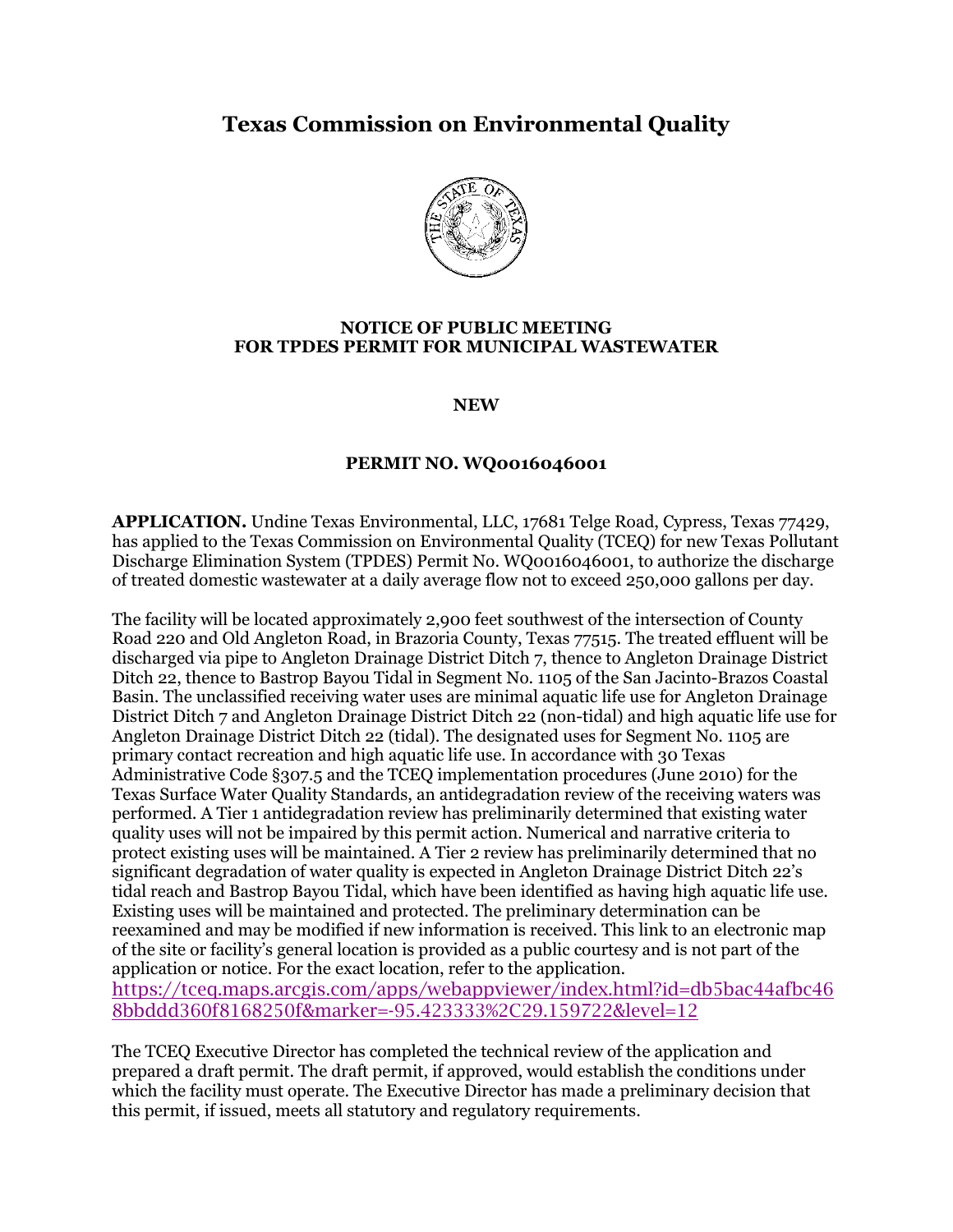## **Texas Commission on Environmental Quality**



## **NOTICE OF PUBLIC MEETING FOR TPDES PERMIT FOR MUNICIPAL WASTEWATER**

**NEW**

## **PERMIT NO. WQ0016046001**

**APPLICATION.** Undine Texas Environmental, LLC, 17681 Telge Road, Cypress, Texas 77429, has applied to the Texas Commission on Environmental Quality (TCEQ) for new Texas Pollutant Discharge Elimination System (TPDES) Permit No. WQ0016046001, to authorize the discharge of treated domestic wastewater at a daily average flow not to exceed 250,000 gallons per day.

The facility will be located approximately 2,900 feet southwest of the intersection of County Road 220 and Old Angleton Road, in Brazoria County, Texas 77515. The treated effluent will be discharged via pipe to Angleton Drainage District Ditch 7, thence to Angleton Drainage District Ditch 22, thence to Bastrop Bayou Tidal in Segment No. 1105 of the San Jacinto-Brazos Coastal Basin. The unclassified receiving water uses are minimal aquatic life use for Angleton Drainage District Ditch 7 and Angleton Drainage District Ditch 22 (non-tidal) and high aquatic life use for Angleton Drainage District Ditch 22 (tidal). The designated uses for Segment No. 1105 are primary contact recreation and high aquatic life use. In accordance with 30 Texas Administrative Code §307.5 and the TCEQ implementation procedures (June 2010) for the Texas Surface Water Quality Standards, an antidegradation review of the receiving waters was performed. A Tier 1 antidegradation review has preliminarily determined that existing water quality uses will not be impaired by this permit action. Numerical and narrative criteria to protect existing uses will be maintained. A Tier 2 review has preliminarily determined that no significant degradation of water quality is expected in Angleton Drainage District Ditch 22's tidal reach and Bastrop Bayou Tidal, which have been identified as having high aquatic life use. Existing uses will be maintained and protected. The preliminary determination can be reexamined and may be modified if new information is received. This link to an electronic map of the site or facility's general location is provided as a public courtesy and is not part of the application or notice. For the exact location, refer to the application. [https://tceq.maps.arcgis.com/apps/webappviewer/index.html?id=db5bac44afbc46](https://tceq.maps.arcgis.com/apps/webappviewer/index.html?id=db5bac44afbc468bbddd360f8168250f&marker=-95.423333%2C29.159722&level=12) [8bbddd360f8168250f&marker=-95.423333%2C29.159722&level=12](https://tceq.maps.arcgis.com/apps/webappviewer/index.html?id=db5bac44afbc468bbddd360f8168250f&marker=-95.423333%2C29.159722&level=12)

The TCEQ Executive Director has completed the technical review of the application and prepared a draft permit. The draft permit, if approved, would establish the conditions under which the facility must operate. The Executive Director has made a preliminary decision that this permit, if issued, meets all statutory and regulatory requirements.